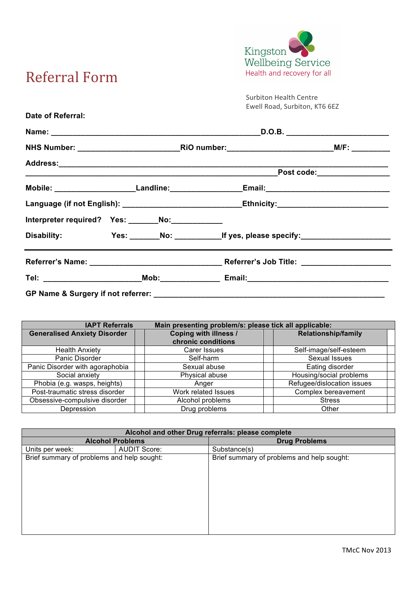

## Referral'Form**!!!!!!!!!!!!!!!!! !!!!!!!!!!!**

Surbiton Health Centre Ewell Road, Surbiton, KT6 6EZ

| Date of Referral:                                                                                   |  |  |                                                                                                      |  |                                                                                                     |  |
|-----------------------------------------------------------------------------------------------------|--|--|------------------------------------------------------------------------------------------------------|--|-----------------------------------------------------------------------------------------------------|--|
|                                                                                                     |  |  |                                                                                                      |  |                                                                                                     |  |
|                                                                                                     |  |  |                                                                                                      |  |                                                                                                     |  |
|                                                                                                     |  |  |                                                                                                      |  | Post code: ________________                                                                         |  |
|                                                                                                     |  |  | Mobile: ________________________Landline: ______________________Email: _____________________________ |  |                                                                                                     |  |
| Language (if not English): ______________________________Ethnicity: _______________________________ |  |  |                                                                                                      |  |                                                                                                     |  |
| Interpreter required? Yes: ______No:___________                                                     |  |  |                                                                                                      |  |                                                                                                     |  |
|                                                                                                     |  |  |                                                                                                      |  | Disability: Yes: ______No: ___________________If yes, please specify: _____________________________ |  |
|                                                                                                     |  |  |                                                                                                      |  |                                                                                                     |  |
|                                                                                                     |  |  |                                                                                                      |  |                                                                                                     |  |
| GP Name & Surgery if not referrer: _________                                                        |  |  |                                                                                                      |  |                                                                                                     |  |

| <b>IAPT Referrals</b>               | Main presenting problem/s: please tick all applicable: |                            |  |  |
|-------------------------------------|--------------------------------------------------------|----------------------------|--|--|
| <b>Generalised Anxiety Disorder</b> | Coping with illness /<br>chronic conditions            | <b>Relationship/family</b> |  |  |
| <b>Health Anxiety</b>               | Carer Issues                                           | Self-image/self-esteem     |  |  |
| Panic Disorder                      | Self-harm                                              | Sexual Issues              |  |  |
| Panic Disorder with agoraphobia     | Sexual abuse                                           | Eating disorder            |  |  |
| Social anxiety                      | Physical abuse                                         | Housing/social problems    |  |  |
| Phobia (e.g. wasps, heights)        | Anger                                                  | Refugee/dislocation issues |  |  |
| Post-traumatic stress disorder      | Work related Issues                                    | Complex bereavement        |  |  |
| Obsessive-compulsive disorder       | Alcohol problems                                       | <b>Stress</b>              |  |  |
| Depression                          | Drug problems                                          | Other                      |  |  |

| Alcohol and other Drug referrals: please complete |                     |                                            |  |  |  |  |  |
|---------------------------------------------------|---------------------|--------------------------------------------|--|--|--|--|--|
| <b>Alcohol Problems</b>                           |                     | <b>Drug Problems</b>                       |  |  |  |  |  |
| Units per week:                                   | <b>AUDIT Score:</b> | Substance(s)                               |  |  |  |  |  |
| Brief summary of problems and help sought:        |                     | Brief summary of problems and help sought: |  |  |  |  |  |
|                                                   |                     |                                            |  |  |  |  |  |
|                                                   |                     |                                            |  |  |  |  |  |
|                                                   |                     |                                            |  |  |  |  |  |
|                                                   |                     |                                            |  |  |  |  |  |
|                                                   |                     |                                            |  |  |  |  |  |
|                                                   |                     |                                            |  |  |  |  |  |
|                                                   |                     |                                            |  |  |  |  |  |
|                                                   |                     |                                            |  |  |  |  |  |